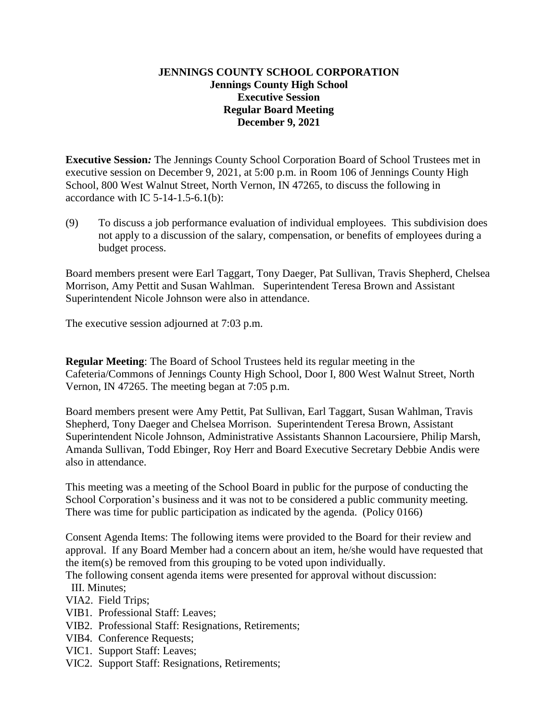### **JENNINGS COUNTY SCHOOL CORPORATION Jennings County High School Executive Session Regular Board Meeting December 9, 2021**

**Executive Session***:* The Jennings County School Corporation Board of School Trustees met in executive session on December 9, 2021, at 5:00 p.m. in Room 106 of Jennings County High School, 800 West Walnut Street, North Vernon, IN 47265, to discuss the following in accordance with IC  $5-14-1.5-6.1(b)$ :

(9) To discuss a job performance evaluation of individual employees. This subdivision does not apply to a discussion of the salary, compensation, or benefits of employees during a budget process.

Board members present were Earl Taggart, Tony Daeger, Pat Sullivan, Travis Shepherd, Chelsea Morrison, Amy Pettit and Susan Wahlman. Superintendent Teresa Brown and Assistant Superintendent Nicole Johnson were also in attendance.

The executive session adjourned at 7:03 p.m.

**Regular Meeting**: The Board of School Trustees held its regular meeting in the Cafeteria/Commons of Jennings County High School, Door I, 800 West Walnut Street, North Vernon, IN 47265. The meeting began at 7:05 p.m.

Board members present were Amy Pettit, Pat Sullivan, Earl Taggart, Susan Wahlman, Travis Shepherd, Tony Daeger and Chelsea Morrison. Superintendent Teresa Brown, Assistant Superintendent Nicole Johnson, Administrative Assistants Shannon Lacoursiere, Philip Marsh, Amanda Sullivan, Todd Ebinger, Roy Herr and Board Executive Secretary Debbie Andis were also in attendance.

This meeting was a meeting of the School Board in public for the purpose of conducting the School Corporation's business and it was not to be considered a public community meeting. There was time for public participation as indicated by the agenda. (Policy 0166)

Consent Agenda Items: The following items were provided to the Board for their review and approval. If any Board Member had a concern about an item, he/she would have requested that the item(s) be removed from this grouping to be voted upon individually.

The following consent agenda items were presented for approval without discussion:

III. Minutes;

VIA2. Field Trips;

- VIB1. Professional Staff: Leaves;
- VIB2. Professional Staff: Resignations, Retirements;
- VIB4. Conference Requests;
- VIC1. Support Staff: Leaves;
- VIC2. Support Staff: Resignations, Retirements;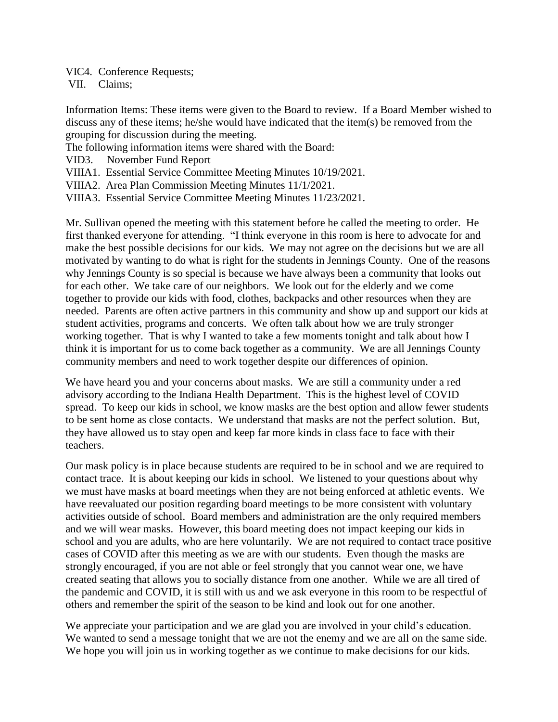VIC4. Conference Requests;

VII. Claims;

Information Items: These items were given to the Board to review. If a Board Member wished to discuss any of these items; he/she would have indicated that the item(s) be removed from the grouping for discussion during the meeting.

The following information items were shared with the Board:

VID3. November Fund Report

VIIIA1. Essential Service Committee Meeting Minutes 10/19/2021.

VIIIA2. Area Plan Commission Meeting Minutes 11/1/2021.

VIIIA3. Essential Service Committee Meeting Minutes 11/23/2021.

Mr. Sullivan opened the meeting with this statement before he called the meeting to order. He first thanked everyone for attending. "I think everyone in this room is here to advocate for and make the best possible decisions for our kids. We may not agree on the decisions but we are all motivated by wanting to do what is right for the students in Jennings County. One of the reasons why Jennings County is so special is because we have always been a community that looks out for each other. We take care of our neighbors. We look out for the elderly and we come together to provide our kids with food, clothes, backpacks and other resources when they are needed. Parents are often active partners in this community and show up and support our kids at student activities, programs and concerts. We often talk about how we are truly stronger working together. That is why I wanted to take a few moments tonight and talk about how I think it is important for us to come back together as a community. We are all Jennings County community members and need to work together despite our differences of opinion.

We have heard you and your concerns about masks. We are still a community under a red advisory according to the Indiana Health Department. This is the highest level of COVID spread. To keep our kids in school, we know masks are the best option and allow fewer students to be sent home as close contacts. We understand that masks are not the perfect solution. But, they have allowed us to stay open and keep far more kinds in class face to face with their teachers.

Our mask policy is in place because students are required to be in school and we are required to contact trace. It is about keeping our kids in school. We listened to your questions about why we must have masks at board meetings when they are not being enforced at athletic events. We have reevaluated our position regarding board meetings to be more consistent with voluntary activities outside of school. Board members and administration are the only required members and we will wear masks. However, this board meeting does not impact keeping our kids in school and you are adults, who are here voluntarily. We are not required to contact trace positive cases of COVID after this meeting as we are with our students. Even though the masks are strongly encouraged, if you are not able or feel strongly that you cannot wear one, we have created seating that allows you to socially distance from one another. While we are all tired of the pandemic and COVID, it is still with us and we ask everyone in this room to be respectful of others and remember the spirit of the season to be kind and look out for one another.

We appreciate your participation and we are glad you are involved in your child's education. We wanted to send a message tonight that we are not the enemy and we are all on the same side. We hope you will join us in working together as we continue to make decisions for our kids.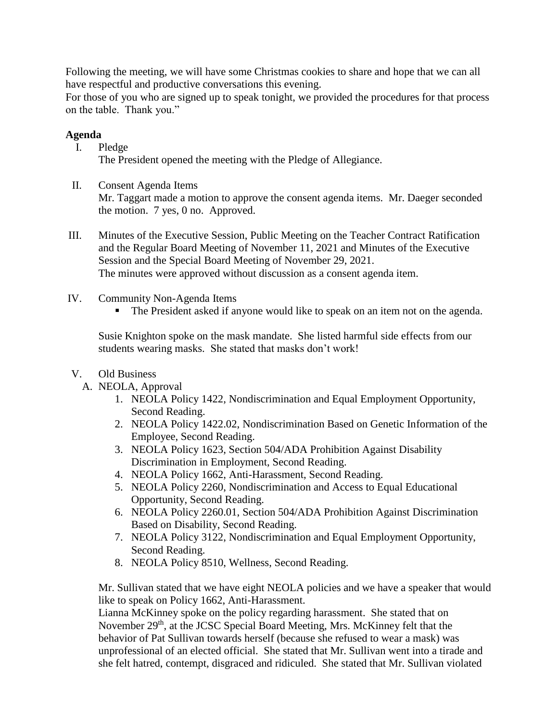Following the meeting, we will have some Christmas cookies to share and hope that we can all have respectful and productive conversations this evening.

For those of you who are signed up to speak tonight, we provided the procedures for that process on the table. Thank you."

# **Agenda**

- I. Pledge The President opened the meeting with the Pledge of Allegiance.
- II. Consent Agenda Items Mr. Taggart made a motion to approve the consent agenda items. Mr. Daeger seconded the motion. 7 yes, 0 no. Approved.
- III. Minutes of the Executive Session, Public Meeting on the Teacher Contract Ratification and the Regular Board Meeting of November 11, 2021 and Minutes of the Executive Session and the Special Board Meeting of November 29, 2021. The minutes were approved without discussion as a consent agenda item.
- IV. Community Non-Agenda Items
	- The President asked if anyone would like to speak on an item not on the agenda.

Susie Knighton spoke on the mask mandate. She listed harmful side effects from our students wearing masks. She stated that masks don't work!

- V. Old Business
	- A. NEOLA, Approval
		- 1. NEOLA Policy 1422, Nondiscrimination and Equal Employment Opportunity, Second Reading.
		- 2. NEOLA Policy 1422.02, Nondiscrimination Based on Genetic Information of the Employee, Second Reading.
		- 3. NEOLA Policy 1623, Section 504/ADA Prohibition Against Disability Discrimination in Employment, Second Reading.
		- 4. NEOLA Policy 1662, Anti-Harassment, Second Reading.
		- 5. NEOLA Policy 2260, Nondiscrimination and Access to Equal Educational Opportunity, Second Reading.
		- 6. NEOLA Policy 2260.01, Section 504/ADA Prohibition Against Discrimination Based on Disability, Second Reading.
		- 7. NEOLA Policy 3122, Nondiscrimination and Equal Employment Opportunity, Second Reading.
		- 8. NEOLA Policy 8510, Wellness, Second Reading.

Mr. Sullivan stated that we have eight NEOLA policies and we have a speaker that would like to speak on Policy 1662, Anti-Harassment.

Lianna McKinney spoke on the policy regarding harassment. She stated that on November 29<sup>th</sup>, at the JCSC Special Board Meeting, Mrs. McKinney felt that the behavior of Pat Sullivan towards herself (because she refused to wear a mask) was unprofessional of an elected official. She stated that Mr. Sullivan went into a tirade and she felt hatred, contempt, disgraced and ridiculed. She stated that Mr. Sullivan violated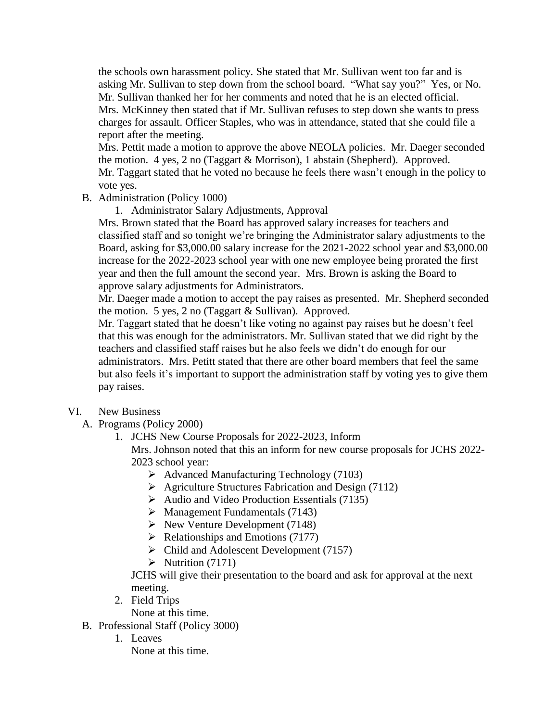the schools own harassment policy. She stated that Mr. Sullivan went too far and is asking Mr. Sullivan to step down from the school board. "What say you?" Yes, or No. Mr. Sullivan thanked her for her comments and noted that he is an elected official. Mrs. McKinney then stated that if Mr. Sullivan refuses to step down she wants to press charges for assault. Officer Staples, who was in attendance, stated that she could file a report after the meeting.

Mrs. Pettit made a motion to approve the above NEOLA policies. Mr. Daeger seconded the motion. 4 yes, 2 no (Taggart & Morrison), 1 abstain (Shepherd). Approved. Mr. Taggart stated that he voted no because he feels there wasn't enough in the policy to vote yes.

- B. Administration (Policy 1000)
	- 1. Administrator Salary Adjustments, Approval

Mrs. Brown stated that the Board has approved salary increases for teachers and classified staff and so tonight we're bringing the Administrator salary adjustments to the Board, asking for \$3,000.00 salary increase for the 2021-2022 school year and \$3,000.00 increase for the 2022-2023 school year with one new employee being prorated the first year and then the full amount the second year. Mrs. Brown is asking the Board to approve salary adjustments for Administrators.

Mr. Daeger made a motion to accept the pay raises as presented. Mr. Shepherd seconded the motion. 5 yes, 2 no (Taggart & Sullivan). Approved.

Mr. Taggart stated that he doesn't like voting no against pay raises but he doesn't feel that this was enough for the administrators. Mr. Sullivan stated that we did right by the teachers and classified staff raises but he also feels we didn't do enough for our administrators. Mrs. Petitt stated that there are other board members that feel the same but also feels it's important to support the administration staff by voting yes to give them pay raises.

#### VI. New Business

- A. Programs (Policy 2000)
	- 1. JCHS New Course Proposals for 2022-2023, Inform

Mrs. Johnson noted that this an inform for new course proposals for JCHS 2022- 2023 school year:

- Advanced Manufacturing Technology (7103)
- $\triangleright$  Agriculture Structures Fabrication and Design (7112)
- $\triangleright$  Audio and Video Production Essentials (7135)
- $\triangleright$  Management Fundamentals (7143)
- $\triangleright$  New Venture Development (7148)
- $\triangleright$  Relationships and Emotions (7177)
- $\triangleright$  Child and Adolescent Development (7157)
- $\triangleright$  Nutrition (7171)

JCHS will give their presentation to the board and ask for approval at the next meeting.

- 2. Field Trips
	- None at this time.
- B. Professional Staff (Policy 3000)
	- 1. Leaves
		- None at this time.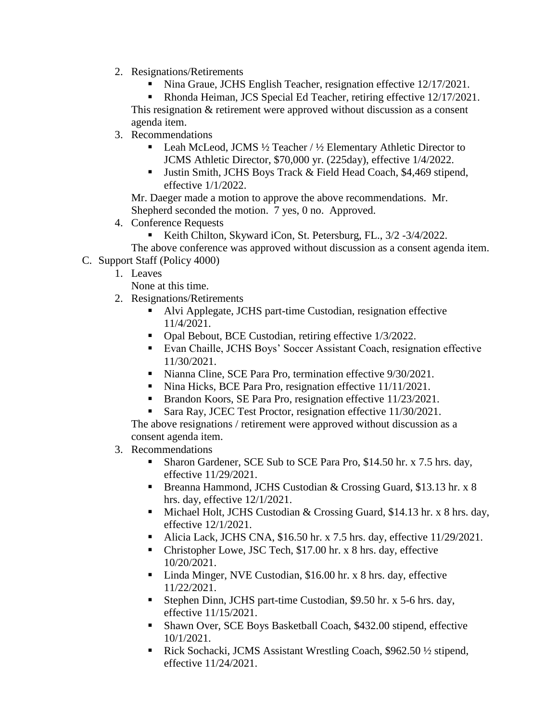- 2. Resignations/Retirements
	- Nina Graue, JCHS English Teacher, resignation effective 12/17/2021.

 Rhonda Heiman, JCS Special Ed Teacher, retiring effective 12/17/2021. This resignation & retirement were approved without discussion as a consent agenda item.

- 3. Recommendations
	- **Leah McLeod, JCMS**  $\frac{1}{2}$  **Teacher /**  $\frac{1}{2}$  **Elementary Athletic Director to** JCMS Athletic Director, \$70,000 yr. (225day), effective 1/4/2022.
	- Justin Smith, JCHS Boys Track & Field Head Coach, \$4,469 stipend, effective 1/1/2022.

Mr. Daeger made a motion to approve the above recommendations. Mr. Shepherd seconded the motion. 7 yes, 0 no. Approved.

- 4. Conference Requests
	- Keith Chilton, Skyward iCon, St. Petersburg, FL., 3/2 -3/4/2022.
- The above conference was approved without discussion as a consent agenda item. C. Support Staff (Policy 4000)
	- 1. Leaves

None at this time.

- 2. Resignations/Retirements
	- Alvi Applegate, JCHS part-time Custodian, resignation effective 11/4/2021.
	- Opal Bebout, BCE Custodian, retiring effective 1/3/2022.
	- Evan Chaille, JCHS Boys' Soccer Assistant Coach, resignation effective 11/30/2021.
	- Nianna Cline, SCE Para Pro, termination effective  $9/30/2021$ .
	- Nina Hicks, BCE Para Pro, resignation effective 11/11/2021.
	- Brandon Koors, SE Para Pro, resignation effective 11/23/2021.
	- Sara Ray, JCEC Test Proctor, resignation effective 11/30/2021.

The above resignations / retirement were approved without discussion as a consent agenda item.

- 3. Recommendations
	- Sharon Gardener, SCE Sub to SCE Para Pro, \$14.50 hr. x 7.5 hrs. day, effective 11/29/2021.
	- Breanna Hammond, JCHS Custodian & Crossing Guard, \$13.13 hr. x 8 hrs. day, effective 12/1/2021.
	- Michael Holt, JCHS Custodian & Crossing Guard, \$14.13 hr. x 8 hrs. day, effective 12/1/2021.
	- Alicia Lack, JCHS CNA, \$16.50 hr. x 7.5 hrs. day, effective 11/29/2021.
	- Christopher Lowe, JSC Tech, \$17.00 hr. x 8 hrs. day, effective 10/20/2021.
	- Linda Minger, NVE Custodian, \$16.00 hr. x 8 hrs. day, effective 11/22/2021.
	- Stephen Dinn, JCHS part-time Custodian, \$9.50 hr. x 5-6 hrs. day, effective 11/15/2021.
	- Shawn Over, SCE Boys Basketball Coach, \$432.00 stipend, effective 10/1/2021.
	- Rick Sochacki, JCMS Assistant Wrestling Coach, \$962.50 ½ stipend, effective 11/24/2021.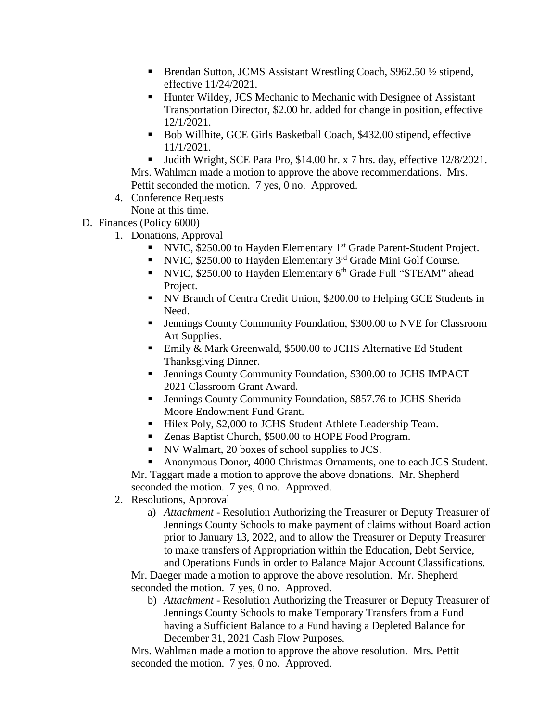- Brendan Sutton, JCMS Assistant Wrestling Coach, \$962.50 ½ stipend, effective 11/24/2021.
- Hunter Wildey, JCS Mechanic to Mechanic with Designee of Assistant Transportation Director, \$2.00 hr. added for change in position, effective 12/1/2021.
- Bob Willhite, GCE Girls Basketball Coach, \$432.00 stipend, effective 11/1/2021.

Uudith Wright, SCE Para Pro, \$14.00 hr. x 7 hrs. day, effective  $12/8/2021$ . Mrs. Wahlman made a motion to approve the above recommendations. Mrs. Pettit seconded the motion. 7 yes, 0 no. Approved.

4. Conference Requests

None at this time.

D. Finances (Policy 6000)

- 1. Donations, Approval
	- NVIC, \$250.00 to Hayden Elementary  $1<sup>st</sup>$  Grade Parent-Student Project.
	- NVIC,  $$250.00$  to Hayden Elementary  $3<sup>rd</sup>$  Grade Mini Golf Course.
	- NVIC, \$250.00 to Hayden Elementary 6<sup>th</sup> Grade Full "STEAM" ahead Project.
	- NV Branch of Centra Credit Union, \$200.00 to Helping GCE Students in Need.
	- Jennings County Community Foundation, \$300.00 to NVE for Classroom Art Supplies.
	- Emily & Mark Greenwald, \$500.00 to JCHS Alternative Ed Student Thanksgiving Dinner.
	- Jennings County Community Foundation, \$300.00 to JCHS IMPACT 2021 Classroom Grant Award.
	- Jennings County Community Foundation, \$857.76 to JCHS Sherida Moore Endowment Fund Grant.
	- Hilex Poly, \$2,000 to JCHS Student Athlete Leadership Team.
	- Zenas Baptist Church, \$500.00 to HOPE Food Program.
	- NV Walmart, 20 boxes of school supplies to JCS.
	- Anonymous Donor, 4000 Christmas Ornaments, one to each JCS Student.

Mr. Taggart made a motion to approve the above donations. Mr. Shepherd seconded the motion. 7 yes, 0 no. Approved.

- 2. Resolutions, Approval
	- a) *Attachment -* Resolution Authorizing the Treasurer or Deputy Treasurer of Jennings County Schools to make payment of claims without Board action prior to January 13, 2022, and to allow the Treasurer or Deputy Treasurer to make transfers of Appropriation within the Education, Debt Service, and Operations Funds in order to Balance Major Account Classifications.

Mr. Daeger made a motion to approve the above resolution. Mr. Shepherd seconded the motion. 7 yes, 0 no. Approved.

b) *Attachment -* Resolution Authorizing the Treasurer or Deputy Treasurer of Jennings County Schools to make Temporary Transfers from a Fund having a Sufficient Balance to a Fund having a Depleted Balance for December 31, 2021 Cash Flow Purposes.

Mrs. Wahlman made a motion to approve the above resolution. Mrs. Pettit seconded the motion. 7 yes, 0 no. Approved.